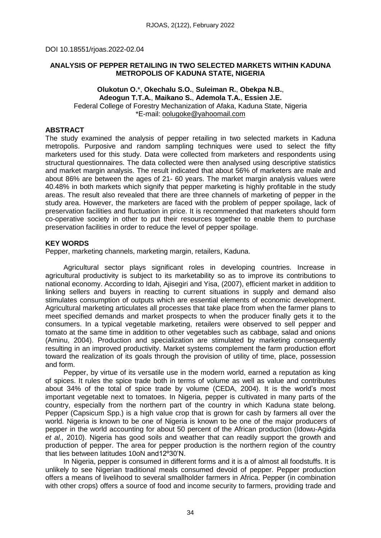# **ANALYSIS OF PEPPER RETAILING IN TWO SELECTED MARKETS WITHIN KADUNA METROPOLIS OF KADUNA STATE, NIGERIA**

#### **Olukotun O.**\*, **Okechalu S.O.**, **Suleiman R.**, **Obekpa N.B.**, **Adeogun T.T.A.**, **Maikano S.**, **Ademola T.A.**, **Essien J.E.** Federal College of Forestry Mechanization of Afaka, Kaduna State, Nigeria \*E-mail: [oolugoke@yahoomail.com](mailto:oolugoke@yahoomail.com)

# **ABSTRACT**

The study examined the analysis of pepper retailing in two selected markets in Kaduna metropolis. Purposive and random sampling techniques were used to select the fifty marketers used for this study. Data were collected from marketers and respondents using structural questionnaires. The data collected were then analysed using descriptive statistics and market margin analysis. The result indicated that about 56% of marketers are male and about 86% are between the ages of 21- 60 years. The market margin analysis values were 40.48% in both markets which signify that pepper marketing is highly profitable in the study areas. The result also revealed that there are three channels of marketing of pepper in the study area. However, the marketers are faced with the problem of pepper spoilage, lack of preservation facilities and fluctuation in price. It is recommended that marketers should form co-operative society in other to put their resources together to enable them to purchase preservation facilities in order to reduce the level of pepper spoilage.

# **KEY WORDS**

Pepper, marketing channels, marketing margin, retailers, Kaduna.

Agricultural sector plays significant roles in developing countries. Increase in agricultural productivity is subject to its marketability so as to improve its contributions to national economy. According to Idah, Ajisegiri and Yisa, (2007), efficient market in addition to linking sellers and buyers in reacting to current situations in supply and demand also stimulates consumption of outputs which are essential elements of economic development. Agricultural marketing articulates all processes that take place from when the farmer plans to meet specified demands and market prospects to when the producer finally gets it to the consumers. In a typical vegetable marketing, retailers were observed to sell pepper and tomato at the same time in addition to other vegetables such as cabbage, salad and onions (Aminu, 2004). Production and specialization are stimulated by marketing consequently resulting in an improved productivity. Market systems complement the farm production effort toward the realization of its goals through the provision of utility of time, place, possession and form.

Pepper, by virtue of its versatile use in the modern world, earned a reputation as king of spices. It rules the spice trade both in terms of volume as well as value and contributes about 34% of the total of spice trade by volume (CEDA, 2004). It is the world's most important vegetable next to tomatoes. In Nigeria, pepper is cultivated in many parts of the country, especially from the northern part of the country in which Kaduna state belong. Pepper (Capsicum Spp.) is a high value crop that is grown for cash by farmers all over the world. Nigeria is known to be one of Nigeria is known to be one of the major producers of pepper in the world accounting for about 50 percent of the African production (Idowu-Agida *et al.,* 2010). Nigeria has good soils and weather that can readily support the growth and production of pepper. The area for pepper production is the northern region of the country that lies between latitudes 10oN and12º30'N.

In Nigeria, pepper is consumed in different forms and it is a of almost all foodstuffs. It is unlikely to see Nigerian traditional meals consumed devoid of pepper. Pepper production offers a means of livelihood to several smallholder farmers in Africa. Pepper (in combination with other crops) offers a source of food and income security to farmers, providing trade and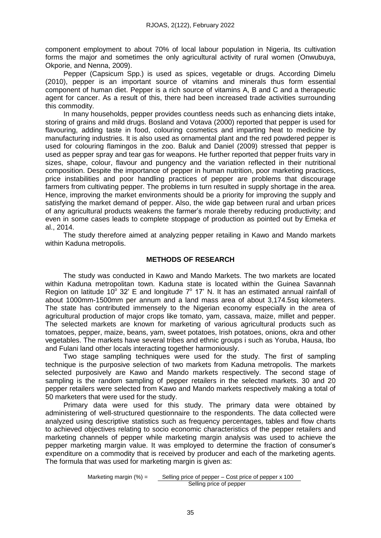component employment to about 70% of local labour population in Nigeria, Its cultivation forms the major and sometimes the only agricultural activity of rural women (Onwubuya, Okporie, and Nenna, 2009).

Pepper (Capsicum Spp.) is used as spices, vegetable or drugs. According Dimelu (2010), pepper is an important source of vitamins and minerals thus form essential component of human diet. Pepper is a rich source of vitamins A, B and C and a therapeutic agent for cancer. As a result of this, there had been increased trade activities surrounding this commodity.

In many households, pepper provides countless needs such as enhancing diets intake, storing of grains and mild drugs. Bosland and Votava (2000) reported that pepper is used for flavouring, adding taste in food, colouring cosmetics and imparting heat to medicine by manufacturing industries. It is also used as ornamental plant and the red powdered pepper is used for colouring flamingos in the zoo. Baluk and Daniel (2009) stressed that pepper is used as pepper spray and tear gas for weapons. He further reported that pepper fruits vary in sizes, shape, colour, flavour and pungency and the variation reflected in their nutritional composition. Despite the importance of pepper in human nutrition, poor marketing practices, price instabilities and poor handling practices of pepper are problems that discourage farmers from cultivating pepper. The problems in turn resulted in supply shortage in the area. Hence, improving the market environments should be a priority for improving the supply and satisfying the market demand of pepper. Also, the wide gap between rural and urban prices of any agricultural products weakens the farmer's morale thereby reducing productivity; and even in some cases leads to complete stoppage of production as pointed out by Emeka *et* al., 2014.

The study therefore aimed at analyzing pepper retailing in Kawo and Mando markets within Kaduna metropolis.

# **METHODS OF RESEARCH**

The study was conducted in Kawo and Mando Markets. The two markets are located within Kaduna metropolitan town. Kaduna state is located within the Guinea Savannah Region on latitude 10 $^{\circ}$  32' E and longitude  $7^{\circ}$  17' N. It has an estimated annual rainfall of about 1000mm-1500mm per annum and a land mass area of about 3,174.5sq kilometers. The state has contributed immensely to the Nigerian economy especially in the area of agricultural production of major crops like tomato, yam, cassava, maize, millet and pepper. The selected markets are known for marketing of various agricultural products such as tomatoes, pepper, maize, beans, yam, sweet potatoes, Irish potatoes, onions, okra and other vegetables. The markets have several tribes and ethnic groups i such as Yoruba, Hausa, Ibo and Fulani land other locals interacting together harmoniously.

Two stage sampling techniques were used for the study. The first of sampling technique is the purposive selection of two markets from Kaduna metropolis. The markets selected purposively are Kawo and Mando markets respectively. The second stage of sampling is the random sampling of pepper retailers in the selected markets. 30 and 20 pepper retailers were selected from Kawo and Mando markets respectively making a total of 50 marketers that were used for the study.

Primary data were used for this study. The primary data were obtained by administering of well-structured questionnaire to the respondents. The data collected were analyzed using descriptive statistics such as frequency percentages, tables and flow charts to achieved objectives relating to socio economic characteristics of the pepper retailers and marketing channels of pepper while marketing margin analysis was used to achieve the pepper marketing margin value. It was employed to determine the fraction of consumer's expenditure on a commodity that is received by producer and each of the marketing agents. The formula that was used for marketing margin is given as:

> Marketing margin  $(\%) =$  Selling price of pepper – Cost price of pepper x 100 Selling price of pepper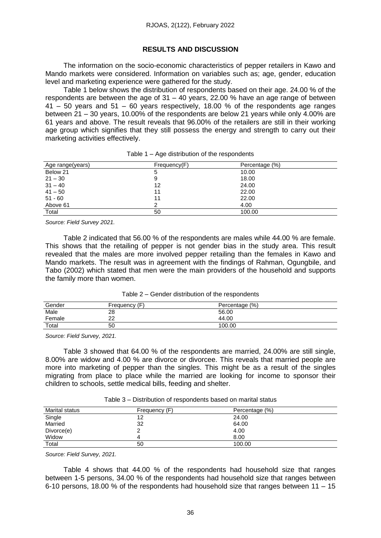#### **RESULTS AND DISCUSSION**

The information on the socio-economic characteristics of pepper retailers in Kawo and Mando markets were considered. Information on variables such as; age, gender, education level and marketing experience were gathered for the study.

Table 1 below shows the distribution of respondents based on their age. 24.00 % of the respondents are between the age of 31 – 40 years, 22.00 % have an age range of between 41 – 50 years and 51 – 60 years respectively, 18.00 % of the respondents age ranges between 21 – 30 years, 10.00% of the respondents are below 21 years while only 4.00% are 61 years and above. The result reveals that 96.00% of the retailers are still in their working age group which signifies that they still possess the energy and strength to carry out their marketing activities effectively.

| Age range(years) | Frequency(F) | Percentage (%) |
|------------------|--------------|----------------|
| Below 21         | 5            | 10.00          |
| $21 - 30$        | 9            | 18.00          |
| $31 - 40$        | 12           | 24.00          |
| $41 - 50$        | 11           | 22.00          |
| $51 - 60$        | 11           | 22.00          |
| Above 61         |              | 4.00           |
| Total            | 50           | 100.00         |

| Table 1 – Age distribution of the respondents |  |
|-----------------------------------------------|--|
|-----------------------------------------------|--|

*Source: Field Survey 2021.*

Table 2 indicated that 56.00 % of the respondents are males while 44.00 % are female. This shows that the retailing of pepper is not gender bias in the study area. This result revealed that the males are more involved pepper retailing than the females in Kawo and Mando markets. The result was in agreement with the findings of Rahman, Ogungbile, and Tabo (2002) which stated that men were the main providers of the household and supports the family more than women.

| Gender | (F<br>Frequency | Percentage (%) |  |
|--------|-----------------|----------------|--|
| Male   | 28              | 56.00          |  |
| Female | no.             | 44.00          |  |
| Total  | 50              | 100.00         |  |
|        |                 |                |  |

*Source: Field Survey, 2021.*

Table 3 showed that 64.00 % of the respondents are married, 24.00% are still single, 8.00% are widow and 4.00 % are divorce or divorcee. This reveals that married people are more into marketing of pepper than the singles. This might be as a result of the singles migrating from place to place while the married are looking for income to sponsor their children to schools, settle medical bills, feeding and shelter.

| Marital status | Frequency (F) | Percentage (%) |
|----------------|---------------|----------------|
| Single         | 12            | 24.00          |
| Married        | 32            | 64.00          |
| Divorce(e)     |               | 4.00           |
| Widow          |               | 8.00           |
| Total          | 50            | 100.00         |

Table 3 – Distribution of respondents based on marital status

*Source: Field Survey, 2021.*

Table 4 shows that 44.00 % of the respondents had household size that ranges between 1-5 persons, 34.00 % of the respondents had household size that ranges between 6-10 persons, 18.00 % of the respondents had household size that ranges between 11 – 15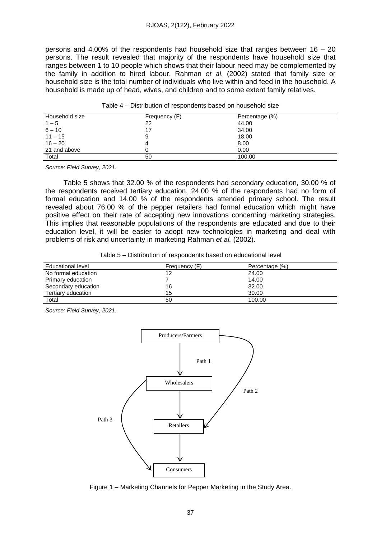#### RJOAS, 2(122), February 2022

persons and 4.00% of the respondents had household size that ranges between 16 – 20 persons. The result revealed that majority of the respondents have household size that ranges between 1 to 10 people which shows that their labour need may be complemented by the family in addition to hired labour. Rahman *et al*. (2002) stated that family size or household size is the total number of individuals who live within and feed in the household. A household is made up of head, wives, and children and to some extent family relatives.

| Household size | Frequency (F) | Percentage (%) |
|----------------|---------------|----------------|
| $1 - 5$        | 22            | 44.00          |
| $6 - 10$       | 17            | 34.00          |
| $11 - 15$      | 9             | 18.00          |
| $16 - 20$      |               | 8.00           |
| 21 and above   |               | 0.00           |
| Total          | 50            | 100.00         |

*Source: Field Survey, 2021.*

Table 5 shows that 32.00 % of the respondents had secondary education, 30.00 % of the respondents received tertiary education, 24.00 % of the respondents had no form of formal education and 14.00 % of the respondents attended primary school. The result revealed about 76.00 % of the pepper retailers had formal education which might have positive effect on their rate of accepting new innovations concerning marketing strategies. This implies that reasonable populations of the respondents are educated and due to their education level, it will be easier to adopt new technologies in marketing and deal with problems of risk and uncertainty in marketing Rahman *et al.* (2002).

|  |  |  |  | Table 5 – Distribution of respondents based on educational level |  |
|--|--|--|--|------------------------------------------------------------------|--|
|--|--|--|--|------------------------------------------------------------------|--|

| Educational level   | Frequency (F) | Percentage (%) |
|---------------------|---------------|----------------|
| No formal education | 12            | 24.00          |
| Primary education   |               | 14.00          |
| Secondary education | 16            | 32.00          |
| Tertiary education  | 15            | 30.00          |
| Total               | 50            | 100.00         |

*Source: Field Survey, 2021.*



Figure 1 – Marketing Channels for Pepper Marketing in the Study Area.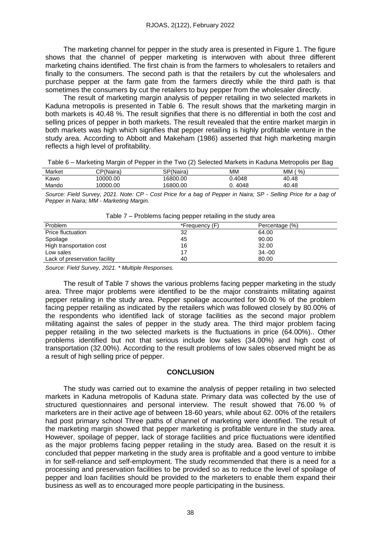The marketing channel for pepper in the study area is presented in Figure 1. The figure shows that the channel of pepper marketing is interwoven with about three different marketing chains identified. The first chain is from the farmers to wholesalers to retailers and finally to the consumers. The second path is that the retailers by cut the wholesalers and purchase pepper at the farm gate from the farmers directly while the third path is that sometimes the consumers by cut the retailers to buy pepper from the wholesaler directly.

The result of marketing margin analysis of pepper retailing in two selected markets in Kaduna metropolis is presented in Table 6. The result shows that the marketing margin in both markets is 40.48 %. The result signifies that there is no differential in both the cost and selling prices of pepper in both markets. The result revealed that the entire market margin in both markets was high which signifies that pepper retailing is highly profitable venture in the study area. According to Abbott and Makeham (1986) asserted that high marketing margin reflects a high level of profitability.

Table 6 – Marketing Margin of Pepper in the Two (2) Selected Markets in Kaduna Metropolis per Bag

| Market | CP(Naira) | SP(Naira) | MМ     | МM<br>% |  |
|--------|-----------|-----------|--------|---------|--|
| Kawo   | 10000.00  | 16800.00  | 0.4048 | 40.48   |  |
| Mando  | 10000.00  | 16800.00  | 4048   | 40.48   |  |

Source: Field Survey, 2021. Note: CP - Cost Price for a bag of Pepper in Naira; SP - Selling Price for a bag of *Pepper in Naira; MM - Marketing Margin.*

|                               |                | .              |  |
|-------------------------------|----------------|----------------|--|
| Problem                       | *Frequency (F) | Percentage (%) |  |
| <b>Price fluctuation</b>      | 32             | 64.00          |  |
| Spoilage                      | 45             | 90.00          |  |
| High transportation cost      | 16             | 32.00          |  |
| Low sales                     |                | $34.-00$       |  |
| Lack of preservation facility | 40             | 80.00          |  |

|  |  |  |  | Table 7 – Problems facing pepper retailing in the study area |
|--|--|--|--|--------------------------------------------------------------|
|--|--|--|--|--------------------------------------------------------------|

*Source: Field Survey, 2021. \* Multiple Responses.*

The result of Table 7 shows the various problems facing pepper marketing in the study area. Three major problems were identified to be the major constraints militating against pepper retailing in the study area. Pepper spoilage accounted for 90.00 % of the problem facing pepper retailing as indicated by the retailers which was followed closely by 80.00% of the respondents who identified lack of storage facilities as the second major problem militating against the sales of pepper in the study area. The third major problem facing pepper retailing in the two selected markets is the fluctuations in price (64.00%).. Other problems identified but not that serious include low sales (34.00%) and high cost of transportation (32.00%). According to the result problems of low sales observed might be as a result of high selling price of pepper.

#### **CONCLUSION**

The study was carried out to examine the analysis of pepper retailing in two selected markets in Kaduna metropolis of Kaduna state. Primary data was collected by the use of structured questionnaires and personal interview. The result showed that 76.00 % of marketers are in their active age of between 18-60 years, while about 62. 00% of the retailers had post primary school Three paths of channel of marketing were identified. The result of the marketing margin showed that pepper marketing is profitable venture in the study area. However, spoilage of pepper, lack of storage facilities and price fluctuations were identified as the major problems facing pepper retailing in the study area. Based on the result it is concluded that pepper marketing in the study area is profitable and a good venture to imbibe in for self-reliance and self-employment. The study recommended that there is a need for a processing and preservation facilities to be provided so as to reduce the level of spoilage of pepper and loan facilities should be provided to the marketers to enable them expand their business as well as to encouraged more people participating in the business.